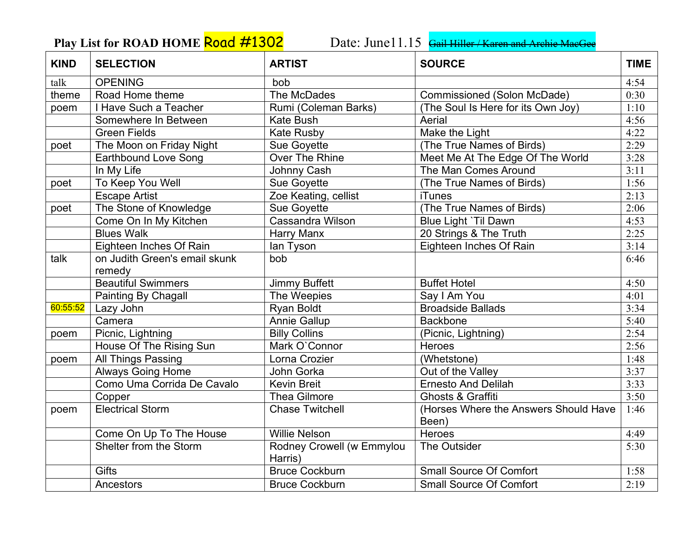## Play List for ROAD HOME **Road #1302** Date: June11.15 **Gail Hiller / Karen and Archie MacGe**

| <b>KIND</b> | <b>SELECTION</b>              | <b>ARTIST</b>                        | <b>SOURCE</b>                                  | <b>TIME</b> |
|-------------|-------------------------------|--------------------------------------|------------------------------------------------|-------------|
| talk        | <b>OPENING</b>                | bob                                  |                                                | 4:54        |
| theme       | Road Home theme               | The McDades                          | Commissioned (Solon McDade)                    | 0:30        |
| poem        | I Have Such a Teacher         | Rumi (Coleman Barks)                 | (The Soul Is Here for its Own Joy)             | 1:10        |
|             | Somewhere In Between          | Kate Bush                            | Aerial                                         | 4:56        |
|             | <b>Green Fields</b>           | Kate Rusby                           | Make the Light                                 | 4:22        |
| poet        | The Moon on Friday Night      | Sue Goyette                          | (The True Names of Birds)                      | 2:29        |
|             | <b>Earthbound Love Song</b>   | Over The Rhine                       | Meet Me At The Edge Of The World               | 3:28        |
|             | In My Life                    | Johnny Cash                          | The Man Comes Around                           | 3:11        |
| poet        | To Keep You Well              | Sue Goyette                          | (The True Names of Birds)                      | 1:56        |
|             | <b>Escape Artist</b>          | Zoe Keating, cellist                 | <b>iTunes</b>                                  | 2:13        |
| poet        | The Stone of Knowledge        | Sue Goyette                          | (The True Names of Birds)                      | 2:06        |
|             | Come On In My Kitchen         | Cassandra Wilson                     | Blue Light `Til Dawn                           | 4:53        |
|             | <b>Blues Walk</b>             | Harry Manx                           | 20 Strings & The Truth                         | 2:25        |
|             | Eighteen Inches Of Rain       | lan Tyson                            | Eighteen Inches Of Rain                        | 3:14        |
| talk        | on Judith Green's email skunk | bob                                  |                                                | 6:46        |
|             | remedy                        |                                      |                                                |             |
|             | <b>Beautiful Swimmers</b>     | <b>Jimmy Buffett</b>                 | <b>Buffet Hotel</b>                            | 4:50        |
|             | Painting By Chagall           | The Weepies                          | Say I Am You                                   | 4:01        |
| 60:55:52    | Lazy John                     | Ryan Boldt                           | <b>Broadside Ballads</b>                       | 3:34        |
|             | Camera                        | Annie Gallup                         | <b>Backbone</b>                                | 5:40        |
| poem        | Picnic, Lightning             | <b>Billy Collins</b>                 | (Picnic, Lightning)                            | 2:54        |
|             | House Of The Rising Sun       | Mark O'Connor                        | Heroes                                         | 2:56        |
| poem        | All Things Passing            | Lorna Crozier                        | (Whetstone)                                    | 1:48        |
|             | <b>Always Going Home</b>      | John Gorka                           | Out of the Valley                              | 3:37        |
|             | Como Uma Corrida De Cavalo    | <b>Kevin Breit</b>                   | <b>Ernesto And Delilah</b>                     | 3:33        |
|             | Copper                        | <b>Thea Gilmore</b>                  | Ghosts & Graffiti                              | 3:50        |
| poem        | <b>Electrical Storm</b>       | <b>Chase Twitchell</b>               | (Horses Where the Answers Should Have<br>Been) | 1:46        |
|             | Come On Up To The House       | <b>Willie Nelson</b>                 | Heroes                                         | 4:49        |
|             | Shelter from the Storm        | Rodney Crowell (w Emmylou<br>Harris) | The Outsider                                   | 5:30        |
|             | <b>Gifts</b>                  | <b>Bruce Cockburn</b>                | <b>Small Source Of Comfort</b>                 | 1:58        |
|             | Ancestors                     | <b>Bruce Cockburn</b>                | <b>Small Source Of Comfort</b>                 | 2:19        |